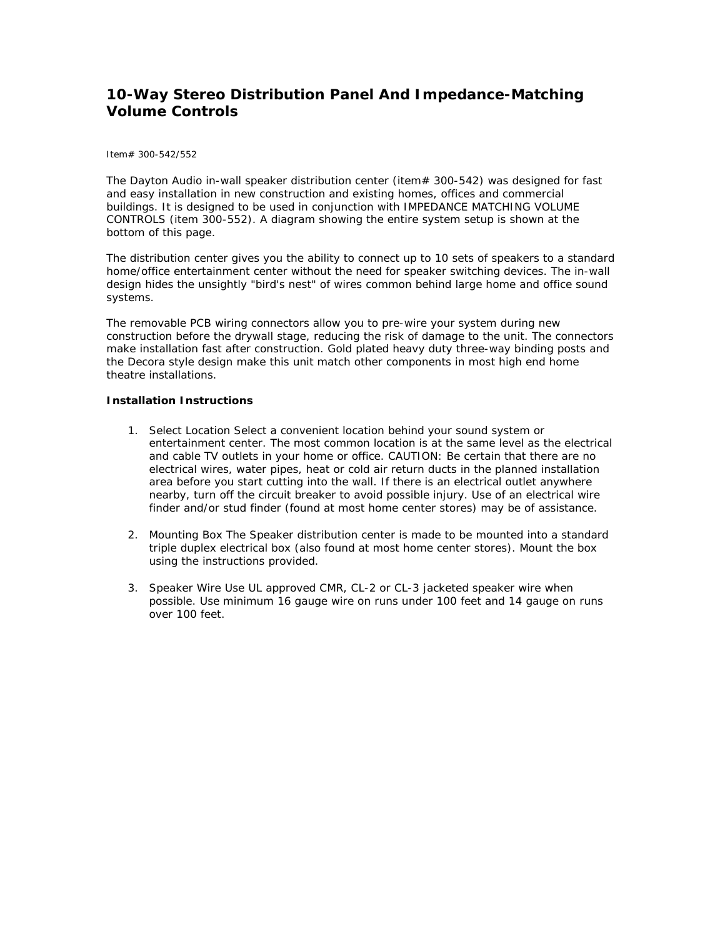## **10-Way Stereo Distribution Panel And Impedance-Matching [V](http://www.parts-express.com/pe/pshowdetl.cfm?&DID=7&Partnumber=300-542)olume Controls**

## Item# 300-542/552

The Dayton Audio in-wall speaker distribution center (item# 300-542) was designed for fast and easy installation in new construction and existing homes, offices and commercial buildings. It is designed to be used in conjunction with IMPEDANCE MATCHING VOLUME CONTROLS (item 300-552). A diagram showing the entire system setup is shown at the bottom of this page.

The distribution center gives you the ability to connect up to 10 sets of speakers to a standard home/office entertainment center without the need for speaker switching devices. The in-wall design hides the unsightly "bird's nest" of wires common behind large home and office sound systems.

The removable PCB wiring connectors allow you to pre-wire your system during new construction before the drywall stage, reducing the risk of damage to the unit. The connectors make installation fast after construction. Gold plated heavy duty three-way binding posts and the Decora style design make this unit match other components in most high end home theatre installations.

## **Installation Instructions**

- 1. Select Location Select a convenient location behind your sound system or entertainment center. The most common location is at the same level as the electrical and cable TV outlets in your home or office. CAUTION: Be certain that there are no electrical wires, water pipes, heat or cold air return ducts in the planned installation area before you start cutting into the wall. If there is an electrical outlet anywhere nearby, turn off the circuit breaker to avoid possible injury. Use of an electrical wire finder and/or stud finder (found at most home center stores) may be of assistance.
- 2. Mounting Box The Speaker distribution center is made to be mounted into a standard triple duplex electrical box (also found at most home center stores). Mount the box using the instructions provided.
- 3. Speaker Wire Use UL approved CMR, CL-2 or CL-3 jacketed speaker wire when possible. Use minimum 16 gauge wire on runs under 100 feet and 14 gauge on runs over 100 feet.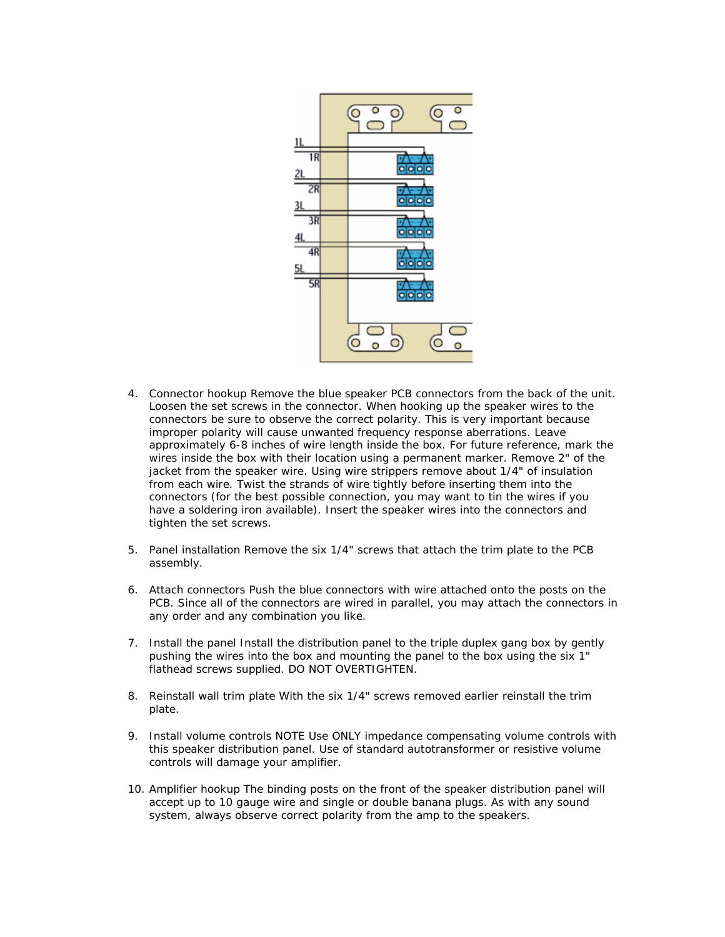

- 4. Connector hookup Remove the blue speaker PCB connectors from the back of the unit. Loosen the set screws in the connector. When hooking up the speaker wires to the connectors be sure to observe the correct polarity. This is very important because improper polarity will cause unwanted frequency response aberrations. Leave approximately 6-8 inches of wire length inside the box. For future reference, mark the wires inside the box with their location using a permanent marker. Remove 2" of the jacket from the speaker wire. Using wire strippers remove about 1/4" of insulation from each wire. Twist the strands of wire tightly before inserting them into the connectors (for the best possible connection, you may want to tin the wires if you have a soldering iron available). Insert the speaker wires into the connectors and tighten the set screws.
- 5. Panel installation Remove the six 1/4" screws that attach the trim plate to the PCB assembly.
- 6. Attach connectors Push the blue connectors with wire attached onto the posts on the PCB. Since all of the connectors are wired in parallel, you may attach the connectors in any order and any combination you like.
- 7. Install the panel Install the distribution panel to the triple duplex gang box by gently pushing the wires into the box and mounting the panel to the box using the six 1" flathead screws supplied. DO NOT OVERTIGHTEN.
- 8. Reinstall wall trim plate With the six 1/4" screws removed earlier reinstall the trim plate.
- 9. Install volume controls NOTE Use ONLY impedance compensating volume controls with this speaker distribution panel. Use of standard autotransformer or resistive volume controls will damage your amplifier.
- 10. Amplifier hookup The binding posts on the front of the speaker distribution panel will accept up to 10 gauge wire and single or double banana plugs. As with any sound system, always observe correct polarity from the amp to the speakers.